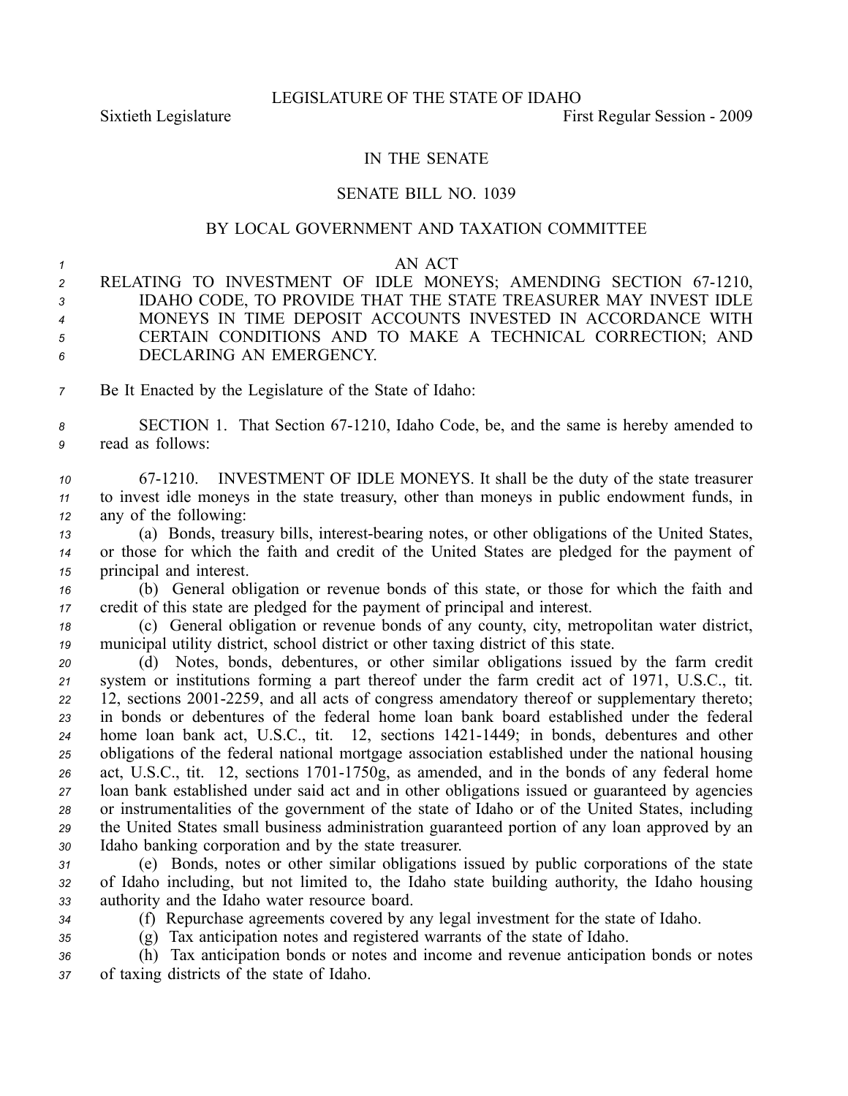## IN THE SENATE

## SENATE BILL NO. 1039

## BY LOCAL GOVERNMENT AND TAXATION COMMITTEE

## *<sup>1</sup>* AN ACT

| $\overline{2}$ | RELATING TO INVESTMENT OF IDLE MONEYS; AMENDING SECTION 67-1210, |
|----------------|------------------------------------------------------------------|
| $3 \sim$       | IDAHO CODE, TO PROVIDE THAT THE STATE TREASURER MAY INVEST IDLE  |
| $\overline{4}$ | MONEYS IN TIME DEPOSIT ACCOUNTS INVESTED IN ACCORDANCE WITH      |
| 5 <sup>5</sup> | CERTAIN CONDITIONS AND TO MAKE A TECHNICAL CORRECTION; AND       |
| 6              | DECLARING AN EMERGENCY.                                          |
|                |                                                                  |

*<sup>7</sup>* Be It Enacted by the Legislature of the State of Idaho:

8 **SECTION 1.** That Section 67-1210, Idaho Code, be, and the same is hereby amended to *<sup>9</sup>* read as follows:

*<sup>10</sup>* 671210. INVESTMENT OF IDLE MONEYS. It shall be the duty of the state treasurer *<sup>11</sup>* to invest idle moneys in the state treasury, other than moneys in public endowment funds, in *<sup>12</sup>* any of the following:

13 (a) Bonds, treasury bills, interest-bearing notes, or other obligations of the United States, *<sup>14</sup>* or those for which the faith and credit of the United States are pledged for the paymen<sup>t</sup> of *<sup>15</sup>* principal and interest.

*<sup>16</sup>* (b) General obligation or revenue bonds of this state, or those for which the faith and *<sup>17</sup>* credit of this state are pledged for the paymen<sup>t</sup> of principal and interest.

*<sup>18</sup>* (c) General obligation or revenue bonds of any county, city, metropolitan water district, *<sup>19</sup>* municipal utility district, school district or other taxing district of this state.

 (d) Notes, bonds, debentures, or other similar obligations issued by the farm credit system or institutions forming <sup>a</sup> par<sup>t</sup> thereof under the farm credit act of 1971, U.S.C., tit. 22 12, sections 2001-2259, and all acts of congress amendatory thereof or supplementary thereto; in bonds or debentures of the federal home loan bank board established under the federal 24 home loan bank act, U.S.C., tit. 12, sections 1421-1449; in bonds, debentures and other obligations of the federal national mortgage association established under the national housing 26 act, U.S.C., tit. 12, sections 1701-1750g, as amended, and in the bonds of any federal home loan bank established under said act and in other obligations issued or guaranteed by agencies or instrumentalities of the governmen<sup>t</sup> of the state of Idaho or of the United States, including the United States small business administration guaranteed portion of any loan approved by an Idaho banking corporation and by the state treasurer.

*<sup>31</sup>* (e) Bonds, notes or other similar obligations issued by public corporations of the state *<sup>32</sup>* of Idaho including, but not limited to, the Idaho state building authority, the Idaho housing *<sup>33</sup>* authority and the Idaho water resource board.

- 
- 

*<sup>34</sup>* (f) Repurchase agreements covered by any legal investment for the state of Idaho.

*<sup>35</sup>* (g) Tax anticipation notes and registered warrants of the state of Idaho.

*<sup>36</sup>* (h) Tax anticipation bonds or notes and income and revenue anticipation bonds or notes *<sup>37</sup>* of taxing districts of the state of Idaho.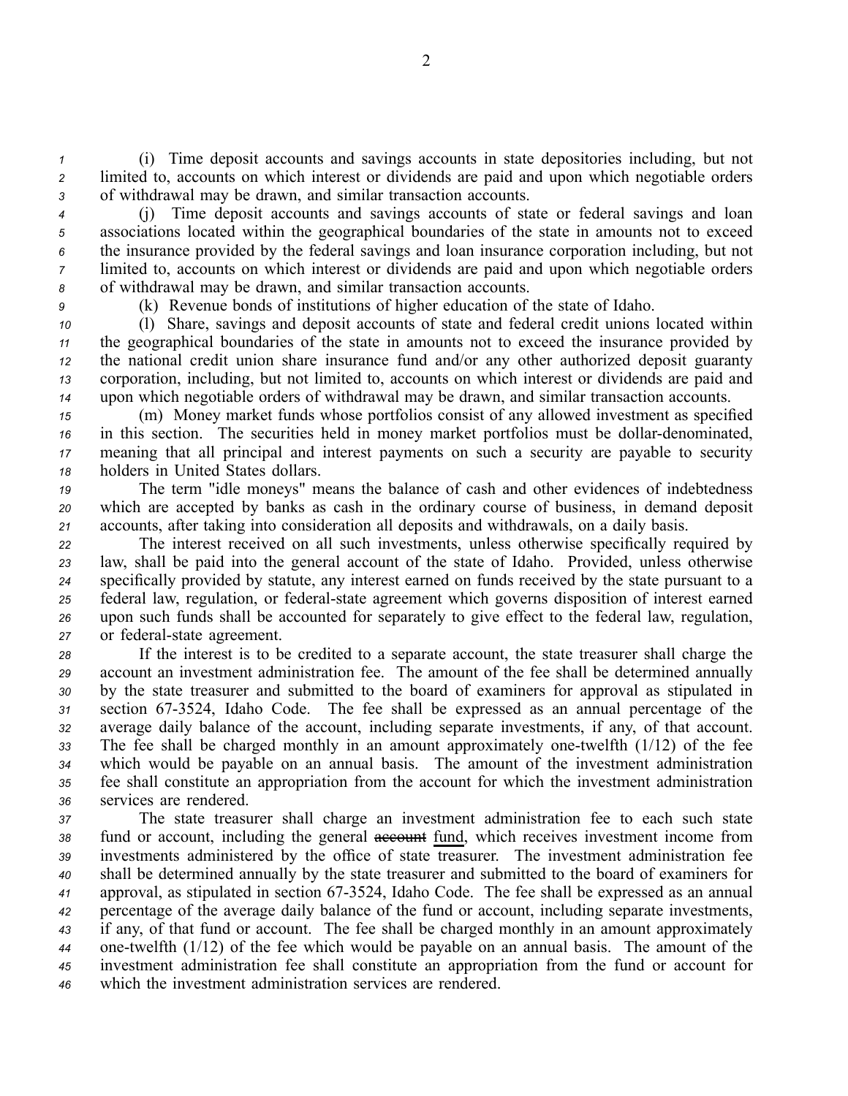*<sup>1</sup>* (i) Time deposit accounts and savings accounts in state depositories including, but not *<sup>2</sup>* limited to, accounts on which interest or dividends are paid and upon which negotiable orders *<sup>3</sup>* of withdrawal may be drawn, and similar transaction accounts.

 (j) Time deposit accounts and savings accounts of state or federal savings and loan associations located within the geographical boundaries of the state in amounts not to exceed the insurance provided by the federal savings and loan insurance corporation including, but not limited to, accounts on which interest or dividends are paid and upon which negotiable orders of withdrawal may be drawn, and similar transaction accounts.

*<sup>9</sup>* (k) Revenue bonds of institutions of higher education of the state of Idaho.

 (l) Share, savings and deposit accounts of state and federal credit unions located within the geographical boundaries of the state in amounts not to exceed the insurance provided by the national credit union share insurance fund and/or any other authorized deposit guaranty corporation, including, but not limited to, accounts on which interest or dividends are paid and upon which negotiable orders of withdrawal may be drawn, and similar transaction accounts.

 (m) Money market funds whose portfolios consist of any allowed investment as specified <sup>16</sup> in this section. The securities held in money market portfolios must be dollar-denominated, meaning that all principal and interest payments on such <sup>a</sup> security are payable to security holders in United States dollars.

*<sup>19</sup>* The term "idle moneys" means the balance of cash and other evidences of indebtedness *<sup>20</sup>* which are accepted by banks as cash in the ordinary course of business, in demand deposit *<sup>21</sup>* accounts, after taking into consideration all deposits and withdrawals, on <sup>a</sup> daily basis.

 The interest received on all such investments, unless otherwise specifically required by law, shall be paid into the general account of the state of Idaho. Provided, unless otherwise specifically provided by statute, any interest earned on funds received by the state pursuan<sup>t</sup> to <sup>a</sup> 25 federal law, regulation, or federal-state agreement which governs disposition of interest earned upon such funds shall be accounted for separately to give effect to the federal law, regulation, or federal-state agreement.

 If the interest is to be credited to <sup>a</sup> separate account, the state treasurer shall charge the account an investment administration fee. The amount of the fee shall be determined annually by the state treasurer and submitted to the board of examiners for approval as stipulated in section 673524, Idaho Code. The fee shall be expressed as an annual percentage of the average daily balance of the account, including separate investments, if any, of that account. 33 The fee shall be charged monthly in an amount approximately one-twelfth (1/12) of the fee which would be payable on an annual basis. The amount of the investment administration fee shall constitute an appropriation from the account for which the investment administration services are rendered.

 The state treasurer shall charge an investment administration fee to each such state fund or account, including the general account fund, which receives investment income from investments administered by the office of state treasurer. The investment administration fee shall be determined annually by the state treasurer and submitted to the board of examiners for approval, as stipulated in section 673524, Idaho Code. The fee shall be expressed as an annual percentage of the average daily balance of the fund or account, including separate investments, if any, of that fund or account. The fee shall be charged monthly in an amount approximately onetwelfth (1/12) of the fee which would be payable on an annual basis. The amount of the investment administration fee shall constitute an appropriation from the fund or account for which the investment administration services are rendered.